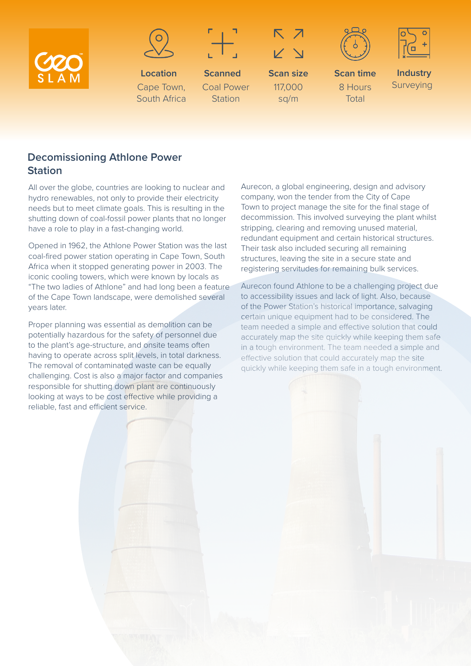



**Location** Cape Town, South Africa



**Scanned** Coal Power **Station** 



**Scan size** 117,000 sq/m





**Scan time** 8 Hours Total

**Industry** Surveying

## **Decomissioning Athlone Power Station**

All over the globe, countries are looking to nuclear and hydro renewables, not only to provide their electricity needs but to meet climate goals. This is resulting in the shutting down of coal-fossil power plants that no longer have a role to play in a fast-changing world.

Opened in 1962, the Athlone Power Station was the last coal-fired power station operating in Cape Town, South Africa when it stopped generating power in 2003. The iconic cooling towers, which were known by locals as "The two ladies of Athlone" and had long been a feature of the Cape Town landscape, were demolished several years later.

Proper planning was essential as demolition can be potentially hazardous for the safety of personnel due to the plant's age-structure, and onsite teams often having to operate across split levels, in total darkness. The removal of contaminated waste can be equally challenging. Cost is also a major factor and companies responsible for shutting down plant are continuously looking at ways to be cost effective while providing a reliable, fast and efficient service.

Aurecon, a global engineering, design and advisory company, won the tender from the City of Cape Town to project manage the site for the final stage of decommission. This involved surveying the plant whilst stripping, clearing and removing unused material, redundant equipment and certain historical structures. Their task also included securing all remaining structures, leaving the site in a secure state and registering servitudes for remaining bulk services.

Aurecon found Athlone to be a challenging project due to accessibility issues and lack of light. Also, because of the Power Station's historical importance, salvaging certain unique equipment had to be considered. The team needed a simple and effective solution that could accurately map the site quickly while keeping them safe in a tough environment. The team needed a simple and effective solution that could accurately map the site quickly while keeping them safe in a tough environment.